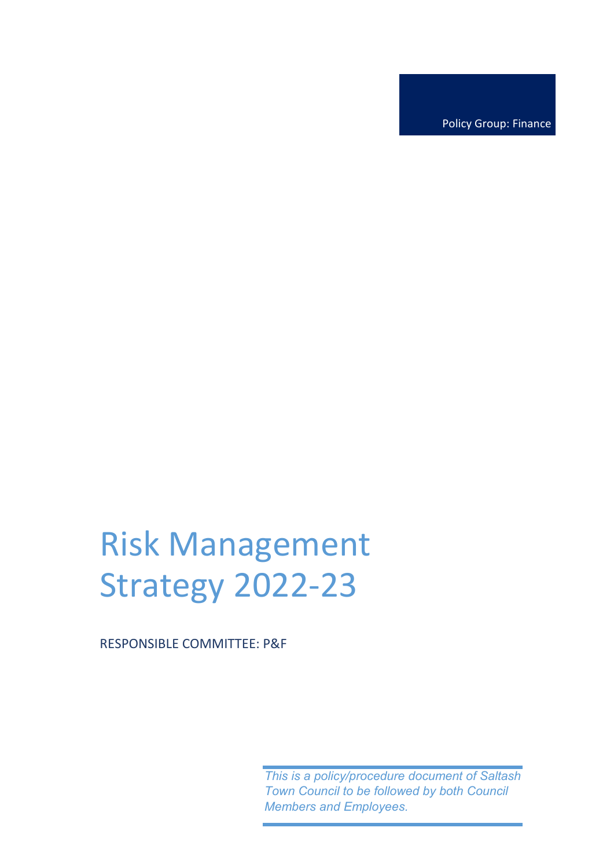Policy Group: Finance

# Risk Management Strategy 2022-23

RESPONSIBLE COMMITTEE: P&F

*This is a policy/procedure document of Saltash Town Council to be followed by both Council Members and Employees.*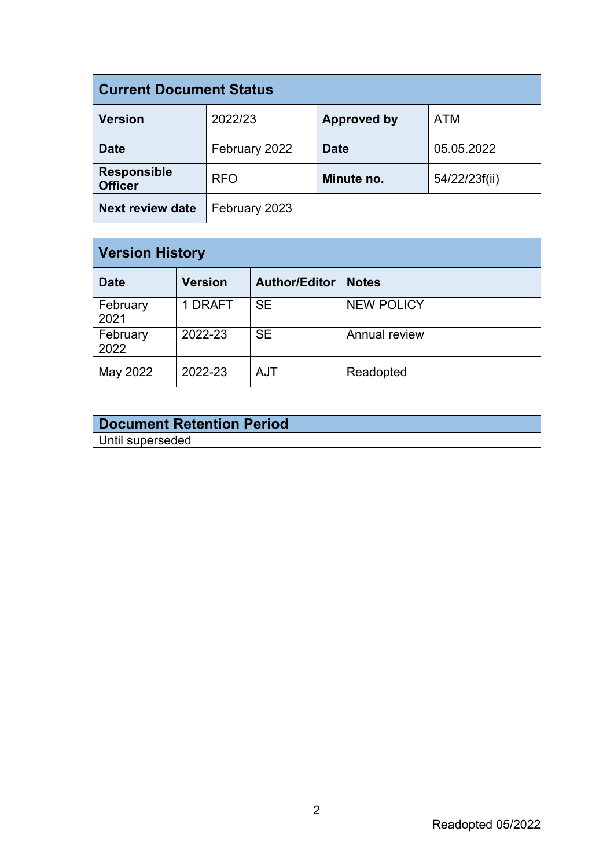| <b>Current Document Status</b>       |               |                    |               |  |  |  |
|--------------------------------------|---------------|--------------------|---------------|--|--|--|
| <b>Version</b>                       | 2022/23       | <b>Approved by</b> | <b>ATM</b>    |  |  |  |
| <b>Date</b>                          | February 2022 | <b>Date</b>        | 05.05.2022    |  |  |  |
| <b>Responsible</b><br><b>Officer</b> | <b>RFO</b>    | Minute no.         | 54/22/23f(ii) |  |  |  |
| <b>Next review date</b>              | February 2023 |                    |               |  |  |  |

| <b>Version History</b> |                |                      |                   |  |  |  |  |
|------------------------|----------------|----------------------|-------------------|--|--|--|--|
| <b>Date</b>            | <b>Version</b> | <b>Author/Editor</b> | <b>Notes</b>      |  |  |  |  |
| February<br>2021       | 1 DRAFT        | <b>SE</b>            | <b>NEW POLICY</b> |  |  |  |  |
| February<br>2022       | 2022-23        | <b>SE</b>            | Annual review     |  |  |  |  |
| May 2022               | 2022-23        | <b>AJT</b>           | Readopted         |  |  |  |  |

| <b>Document Retention Period</b> |  |
|----------------------------------|--|
| Until superseded                 |  |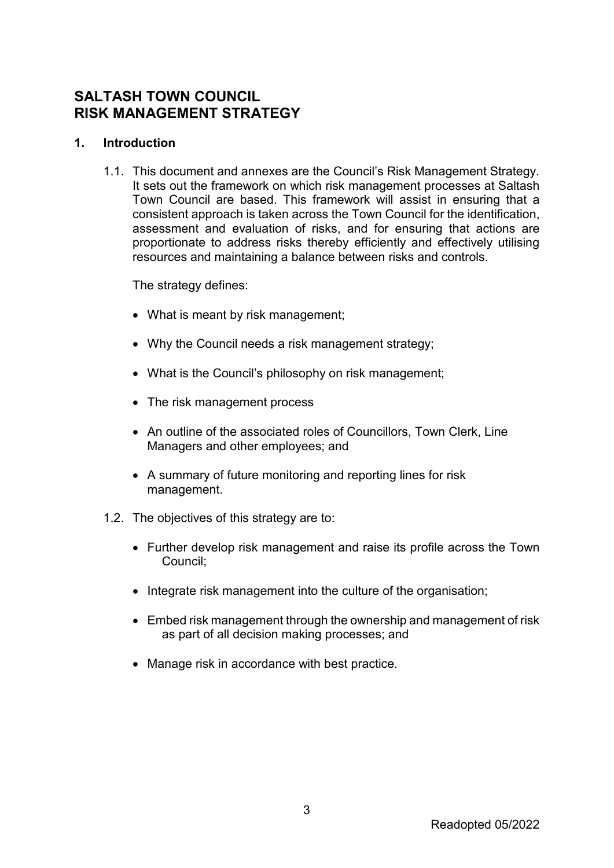# **SALTASH TOWN COUNCIL RISK MANAGEMENT STRATEGY**

# **1. Introduction**

1.1. This document and annexes are the Council's Risk Management Strategy. It sets out the framework on which risk management processes at Saltash Town Council are based. This framework will assist in ensuring that a consistent approach is taken across the Town Council for the identification, assessment and evaluation of risks, and for ensuring that actions are proportionate to address risks thereby efficiently and effectively utilising resources and maintaining a balance between risks and controls.

The strategy defines:

- What is meant by risk management;
- Why the Council needs a risk management strategy;
- What is the Council's philosophy on risk management;
- The risk management process
- An outline of the associated roles of Councillors, Town Clerk, Line Managers and other employees; and
- A summary of future monitoring and reporting lines for risk management.
- 1.2. The objectives of this strategy are to:
	- Further develop risk management and raise its profile across the Town Council;
	- Integrate risk management into the culture of the organisation;
	- Embed risk management through the ownership and management of risk as part of all decision making processes; and
	- Manage risk in accordance with best practice.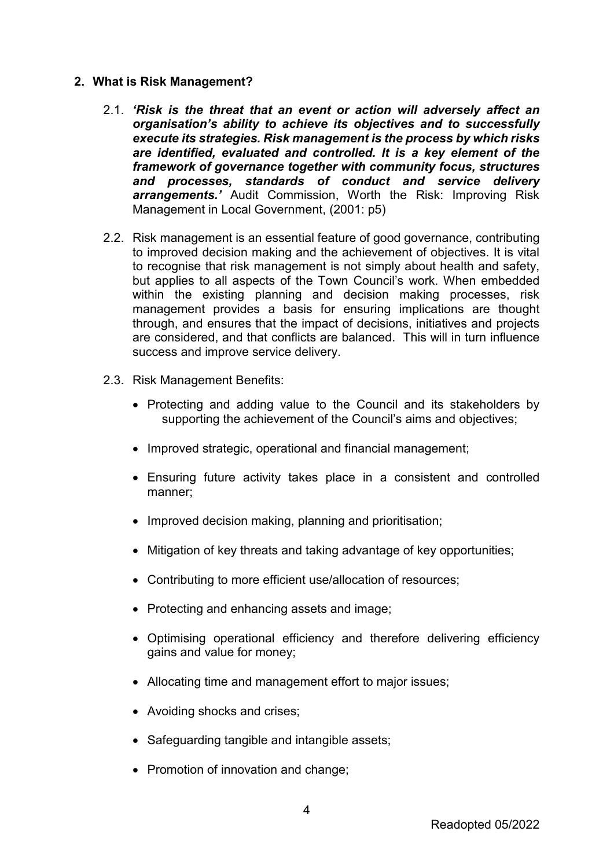### **2. What is Risk Management?**

- 2.1. *'Risk is the threat that an event or action will adversely affect an organisation's ability to achieve its objectives and to successfully execute its strategies. Risk management is the process by which risks are identified, evaluated and controlled. It is a key element of the framework of governance together with community focus, structures and processes, standards of conduct and service delivery arrangements.'* Audit Commission, Worth the Risk: Improving Risk Management in Local Government, (2001: p5)
- 2.2. Risk management is an essential feature of good governance, contributing to improved decision making and the achievement of objectives. It is vital to recognise that risk management is not simply about health and safety, but applies to all aspects of the Town Council's work. When embedded within the existing planning and decision making processes, risk management provides a basis for ensuring implications are thought through, and ensures that the impact of decisions, initiatives and projects are considered, and that conflicts are balanced. This will in turn influence success and improve service delivery.
- 2.3. Risk Management Benefits:
	- Protecting and adding value to the Council and its stakeholders by supporting the achievement of the Council's aims and objectives;
	- Improved strategic, operational and financial management;
	- Ensuring future activity takes place in a consistent and controlled manner;
	- Improved decision making, planning and prioritisation;
	- Mitigation of key threats and taking advantage of key opportunities;
	- Contributing to more efficient use/allocation of resources;
	- Protecting and enhancing assets and image;
	- Optimising operational efficiency and therefore delivering efficiency gains and value for money;
	- Allocating time and management effort to major issues;
	- Avoiding shocks and crises;
	- Safeguarding tangible and intangible assets;
	- Promotion of innovation and change;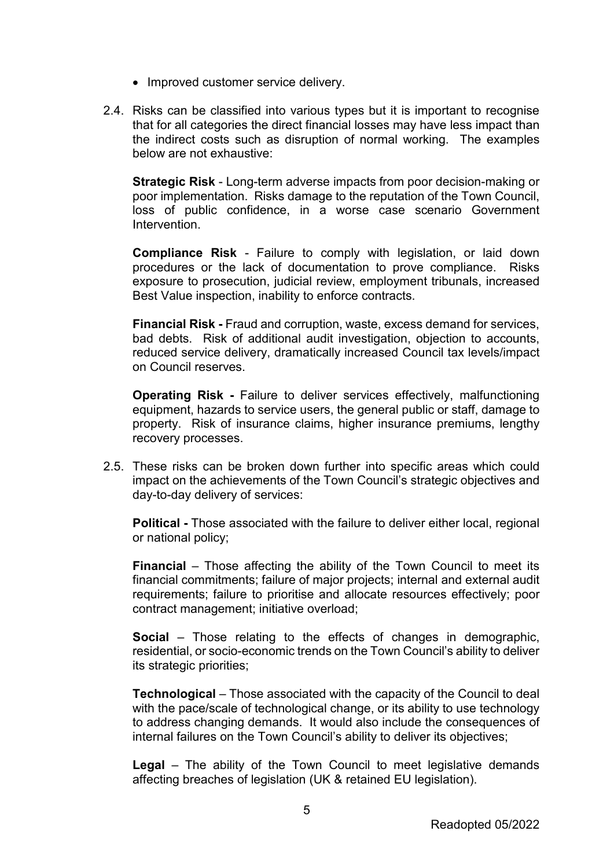- Improved customer service delivery.
- 2.4. Risks can be classified into various types but it is important to recognise that for all categories the direct financial losses may have less impact than the indirect costs such as disruption of normal working. The examples below are not exhaustive:

**Strategic Risk** - Long-term adverse impacts from poor decision-making or poor implementation. Risks damage to the reputation of the Town Council, loss of public confidence, in a worse case scenario Government Intervention.

**Compliance Risk** - Failure to comply with legislation, or laid down procedures or the lack of documentation to prove compliance. Risks exposure to prosecution, judicial review, employment tribunals, increased Best Value inspection, inability to enforce contracts.

**Financial Risk -** Fraud and corruption, waste, excess demand for services, bad debts. Risk of additional audit investigation, objection to accounts, reduced service delivery, dramatically increased Council tax levels/impact on Council reserves.

**Operating Risk -** Failure to deliver services effectively, malfunctioning equipment, hazards to service users, the general public or staff, damage to property. Risk of insurance claims, higher insurance premiums, lengthy recovery processes.

2.5. These risks can be broken down further into specific areas which could impact on the achievements of the Town Council's strategic objectives and day-to-day delivery of services:

**Political -** Those associated with the failure to deliver either local, regional or national policy;

**Financial** – Those affecting the ability of the Town Council to meet its financial commitments; failure of major projects; internal and external audit requirements; failure to prioritise and allocate resources effectively; poor contract management; initiative overload;

**Social** – Those relating to the effects of changes in demographic, residential, or socio-economic trends on the Town Council's ability to deliver its strategic priorities;

**Technological** – Those associated with the capacity of the Council to deal with the pace/scale of technological change, or its ability to use technology to address changing demands. It would also include the consequences of internal failures on the Town Council's ability to deliver its objectives;

**Legal** – The ability of the Town Council to meet legislative demands affecting breaches of legislation (UK & retained EU legislation).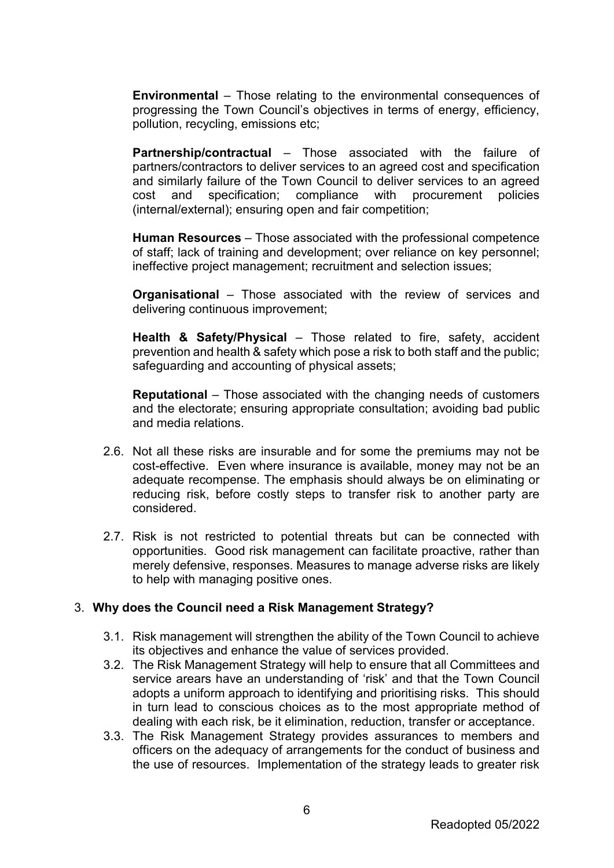**Environmental** – Those relating to the environmental consequences of progressing the Town Council's objectives in terms of energy, efficiency, pollution, recycling, emissions etc;

**Partnership/contractual** – Those associated with the failure of partners/contractors to deliver services to an agreed cost and specification and similarly failure of the Town Council to deliver services to an agreed cost and specification; compliance with procurement policies (internal/external); ensuring open and fair competition;

**Human Resources** – Those associated with the professional competence of staff; lack of training and development; over reliance on key personnel; ineffective project management; recruitment and selection issues;

**Organisational** – Those associated with the review of services and delivering continuous improvement;

**Health & Safety/Physical** – Those related to fire, safety, accident prevention and health & safety which pose a risk to both staff and the public; safeguarding and accounting of physical assets;

**Reputational** – Those associated with the changing needs of customers and the electorate; ensuring appropriate consultation; avoiding bad public and media relations.

- 2.6. Not all these risks are insurable and for some the premiums may not be cost-effective. Even where insurance is available, money may not be an adequate recompense. The emphasis should always be on eliminating or reducing risk, before costly steps to transfer risk to another party are considered.
- 2.7. Risk is not restricted to potential threats but can be connected with opportunities. Good risk management can facilitate proactive, rather than merely defensive, responses. Measures to manage adverse risks are likely to help with managing positive ones.

### 3. **Why does the Council need a Risk Management Strategy?**

- 3.1. Risk management will strengthen the ability of the Town Council to achieve its objectives and enhance the value of services provided.
- 3.2. The Risk Management Strategy will help to ensure that all Committees and service arears have an understanding of 'risk' and that the Town Council adopts a uniform approach to identifying and prioritising risks. This should in turn lead to conscious choices as to the most appropriate method of dealing with each risk, be it elimination, reduction, transfer or acceptance.
- 3.3. The Risk Management Strategy provides assurances to members and officers on the adequacy of arrangements for the conduct of business and the use of resources. Implementation of the strategy leads to greater risk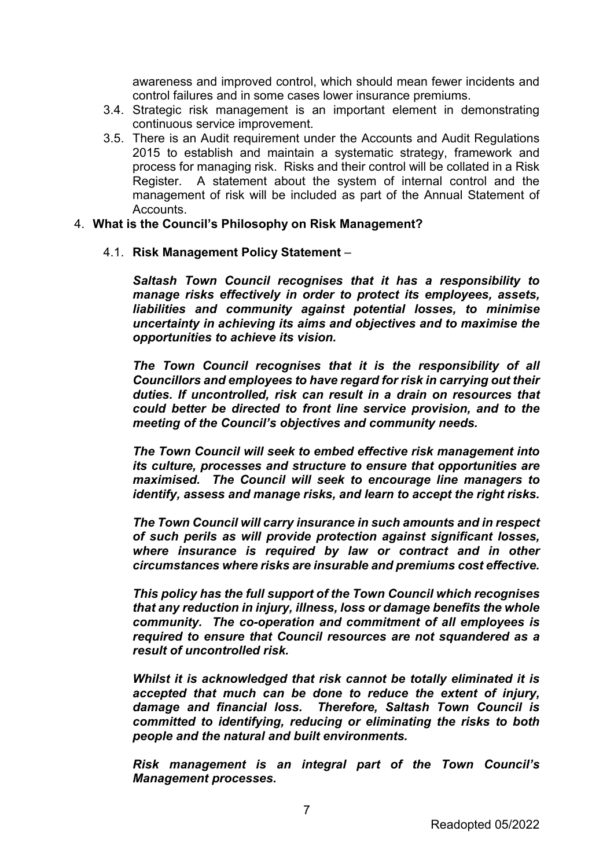awareness and improved control, which should mean fewer incidents and control failures and in some cases lower insurance premiums.

- 3.4. Strategic risk management is an important element in demonstrating continuous service improvement.
- 3.5. There is an Audit requirement under the Accounts and Audit Regulations 2015 to establish and maintain a systematic strategy, framework and process for managing risk. Risks and their control will be collated in a Risk Register. A statement about the system of internal control and the management of risk will be included as part of the Annual Statement of Accounts.

#### 4. **What is the Council's Philosophy on Risk Management?**

4.1. **Risk Management Policy Statement** –

*Saltash Town Council recognises that it has a responsibility to manage risks effectively in order to protect its employees, assets, liabilities and community against potential losses, to minimise uncertainty in achieving its aims and objectives and to maximise the opportunities to achieve its vision.*

*The Town Council recognises that it is the responsibility of all Councillors and employees to have regard for risk in carrying out their duties. If uncontrolled, risk can result in a drain on resources that could better be directed to front line service provision, and to the meeting of the Council's objectives and community needs.*

*The Town Council will seek to embed effective risk management into its culture, processes and structure to ensure that opportunities are maximised. The Council will seek to encourage line managers to identify, assess and manage risks, and learn to accept the right risks.*

*The Town Council will carry insurance in such amounts and in respect of such perils as will provide protection against significant losses, where insurance is required by law or contract and in other circumstances where risks are insurable and premiums cost effective.* 

*This policy has the full support of the Town Council which recognises that any reduction in injury, illness, loss or damage benefits the whole community. The co-operation and commitment of all employees is required to ensure that Council resources are not squandered as a result of uncontrolled risk.*

*Whilst it is acknowledged that risk cannot be totally eliminated it is accepted that much can be done to reduce the extent of injury, damage and financial loss. Therefore, Saltash Town Council is committed to identifying, reducing or eliminating the risks to both people and the natural and built environments.*

*Risk management is an integral part of the Town Council's Management processes.*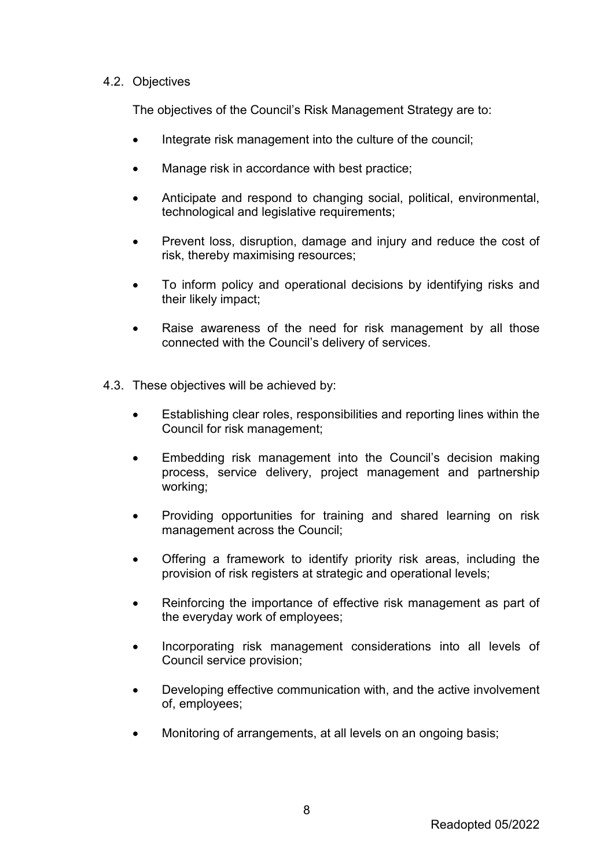## 4.2. Objectives

The objectives of the Council's Risk Management Strategy are to:

- Integrate risk management into the culture of the council;
- Manage risk in accordance with best practice:
- Anticipate and respond to changing social, political, environmental, technological and legislative requirements;
- Prevent loss, disruption, damage and injury and reduce the cost of risk, thereby maximising resources;
- To inform policy and operational decisions by identifying risks and their likely impact;
- Raise awareness of the need for risk management by all those connected with the Council's delivery of services.
- 4.3. These objectives will be achieved by:
	- Establishing clear roles, responsibilities and reporting lines within the Council for risk management;
	- Embedding risk management into the Council's decision making process, service delivery, project management and partnership working;
	- Providing opportunities for training and shared learning on risk management across the Council;
	- Offering a framework to identify priority risk areas, including the provision of risk registers at strategic and operational levels;
	- Reinforcing the importance of effective risk management as part of the everyday work of employees;
	- Incorporating risk management considerations into all levels of Council service provision;
	- Developing effective communication with, and the active involvement of, employees;
	- Monitoring of arrangements, at all levels on an ongoing basis;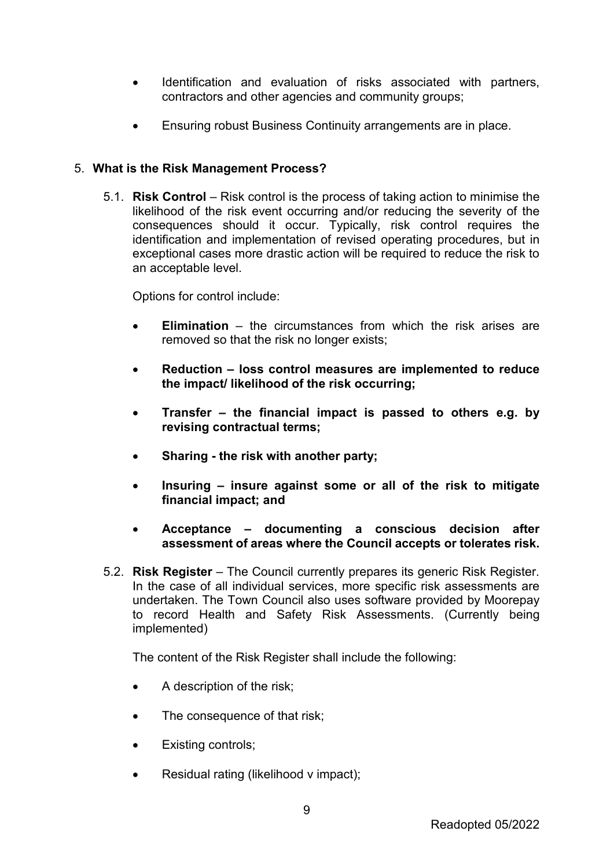- Identification and evaluation of risks associated with partners, contractors and other agencies and community groups;
- Ensuring robust Business Continuity arrangements are in place.

# 5. **What is the Risk Management Process?**

5.1. **Risk Control** – Risk control is the process of taking action to minimise the likelihood of the risk event occurring and/or reducing the severity of the consequences should it occur. Typically, risk control requires the identification and implementation of revised operating procedures, but in exceptional cases more drastic action will be required to reduce the risk to an acceptable level.

Options for control include:

- **Elimination**  the circumstances from which the risk arises are removed so that the risk no longer exists;
- **Reduction – loss control measures are implemented to reduce the impact/ likelihood of the risk occurring;**
- **Transfer – the financial impact is passed to others e.g. by revising contractual terms;**
- **Sharing - the risk with another party;**
- **Insuring – insure against some or all of the risk to mitigate financial impact; and**
- **Acceptance – documenting a conscious decision after assessment of areas where the Council accepts or tolerates risk.**
- 5.2. **Risk Register**  The Council currently prepares its generic Risk Register. In the case of all individual services, more specific risk assessments are undertaken. The Town Council also uses software provided by Moorepay to record Health and Safety Risk Assessments. (Currently being implemented)

The content of the Risk Register shall include the following:

- A description of the risk;
- The consequence of that risk;
- Existing controls;
- Residual rating (likelihood v impact):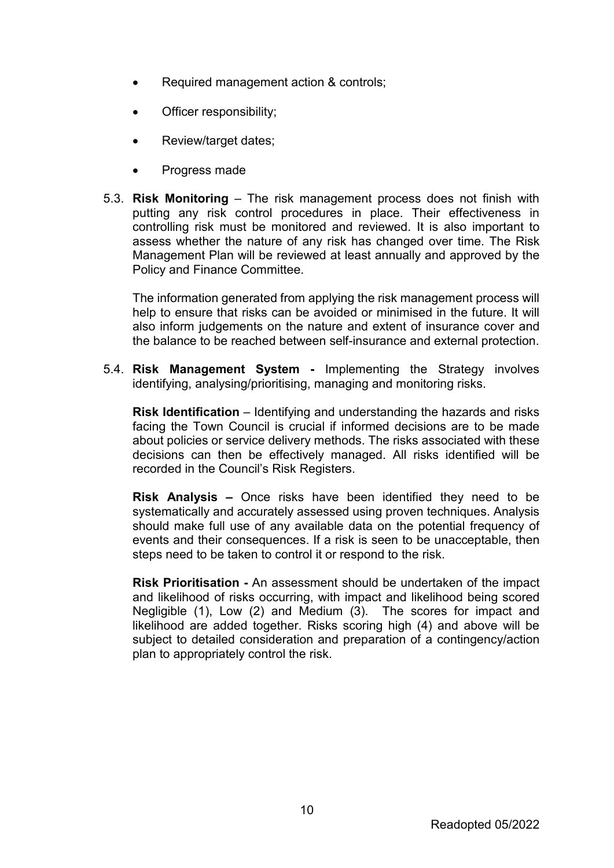- Required management action & controls;
- Officer responsibility;
- Review/target dates;
- Progress made
- 5.3. **Risk Monitoring**  The risk management process does not finish with putting any risk control procedures in place. Their effectiveness in controlling risk must be monitored and reviewed. It is also important to assess whether the nature of any risk has changed over time. The Risk Management Plan will be reviewed at least annually and approved by the Policy and Finance Committee.

The information generated from applying the risk management process will help to ensure that risks can be avoided or minimised in the future. It will also inform judgements on the nature and extent of insurance cover and the balance to be reached between self-insurance and external protection.

5.4. **Risk Management System -** Implementing the Strategy involves identifying, analysing/prioritising, managing and monitoring risks.

**Risk Identification** – Identifying and understanding the hazards and risks facing the Town Council is crucial if informed decisions are to be made about policies or service delivery methods. The risks associated with these decisions can then be effectively managed. All risks identified will be recorded in the Council's Risk Registers.

**Risk Analysis –** Once risks have been identified they need to be systematically and accurately assessed using proven techniques. Analysis should make full use of any available data on the potential frequency of events and their consequences. If a risk is seen to be unacceptable, then steps need to be taken to control it or respond to the risk.

**Risk Prioritisation -** An assessment should be undertaken of the impact and likelihood of risks occurring, with impact and likelihood being scored Negligible (1), Low (2) and Medium (3). The scores for impact and likelihood are added together. Risks scoring high (4) and above will be subject to detailed consideration and preparation of a contingency/action plan to appropriately control the risk.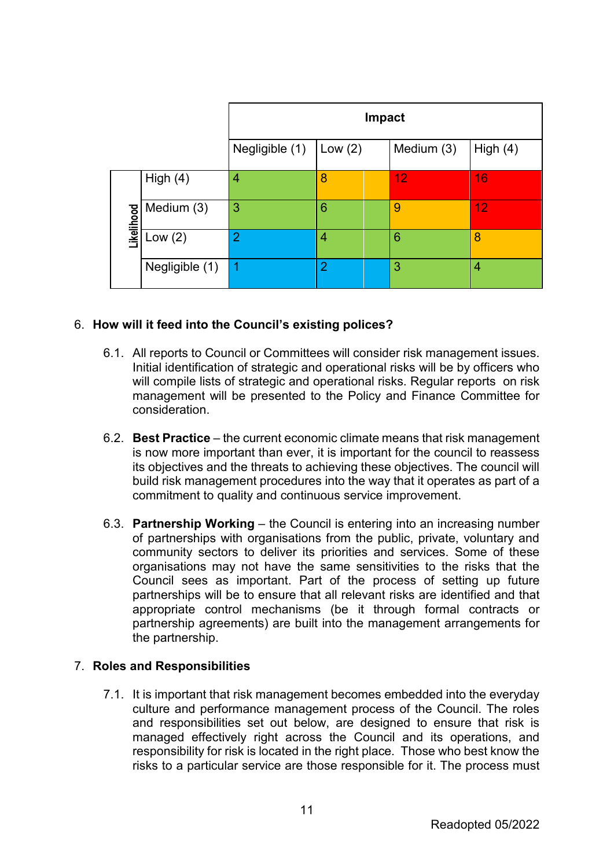|            |                | Impact         |                |            |                |  |
|------------|----------------|----------------|----------------|------------|----------------|--|
|            |                | Negligible (1) | Low $(2)$      | Medium (3) | High $(4)$     |  |
|            | High $(4)$     | 4              | 8              | 12         | 16             |  |
| Likelihood | Medium (3)     | 3              | 6              | 9          | 12             |  |
|            | Low $(2)$      | $\overline{2}$ | 4              | 6          | 8              |  |
|            | Negligible (1) | 4              | $\overline{2}$ | 3          | $\overline{4}$ |  |

# 6. **How will it feed into the Council's existing polices?**

- 6.1. All reports to Council or Committees will consider risk management issues. Initial identification of strategic and operational risks will be by officers who will compile lists of strategic and operational risks. Regular reports on risk management will be presented to the Policy and Finance Committee for consideration.
- 6.2. **Best Practice**  the current economic climate means that risk management is now more important than ever, it is important for the council to reassess its objectives and the threats to achieving these objectives. The council will build risk management procedures into the way that it operates as part of a commitment to quality and continuous service improvement.
- 6.3. **Partnership Working**  the Council is entering into an increasing number of partnerships with organisations from the public, private, voluntary and community sectors to deliver its priorities and services. Some of these organisations may not have the same sensitivities to the risks that the Council sees as important. Part of the process of setting up future partnerships will be to ensure that all relevant risks are identified and that appropriate control mechanisms (be it through formal contracts or partnership agreements) are built into the management arrangements for the partnership.

# 7. **Roles and Responsibilities**

7.1. It is important that risk management becomes embedded into the everyday culture and performance management process of the Council. The roles and responsibilities set out below, are designed to ensure that risk is managed effectively right across the Council and its operations, and responsibility for risk is located in the right place. Those who best know the risks to a particular service are those responsible for it. The process must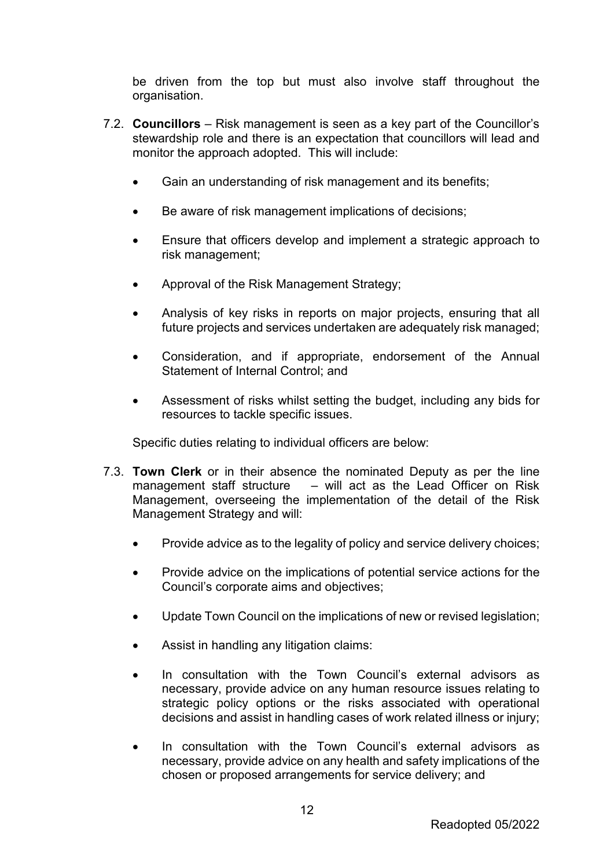be driven from the top but must also involve staff throughout the organisation.

- 7.2. **Councillors** Risk management is seen as a key part of the Councillor's stewardship role and there is an expectation that councillors will lead and monitor the approach adopted. This will include:
	- Gain an understanding of risk management and its benefits;
	- Be aware of risk management implications of decisions;
	- Ensure that officers develop and implement a strategic approach to risk management;
	- Approval of the Risk Management Strategy;
	- Analysis of key risks in reports on major projects, ensuring that all future projects and services undertaken are adequately risk managed;
	- Consideration, and if appropriate, endorsement of the Annual Statement of Internal Control; and
	- Assessment of risks whilst setting the budget, including any bids for resources to tackle specific issues.

Specific duties relating to individual officers are below:

- 7.3. **Town Clerk** or in their absence the nominated Deputy as per the line management staff structure – will act as the Lead Officer on Risk Management, overseeing the implementation of the detail of the Risk Management Strategy and will:
	- Provide advice as to the legality of policy and service delivery choices;
	- Provide advice on the implications of potential service actions for the Council's corporate aims and objectives;
	- Update Town Council on the implications of new or revised legislation;
	- Assist in handling any litigation claims:
	- In consultation with the Town Council's external advisors as necessary, provide advice on any human resource issues relating to strategic policy options or the risks associated with operational decisions and assist in handling cases of work related illness or injury;
	- In consultation with the Town Council's external advisors as necessary, provide advice on any health and safety implications of the chosen or proposed arrangements for service delivery; and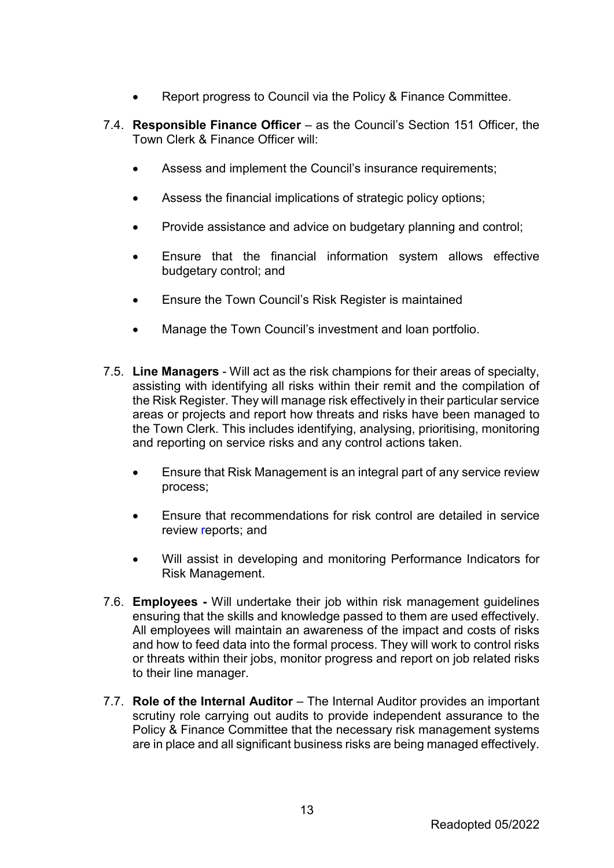- Report progress to Council via the Policy & Finance Committee.
- 7.4. **Responsible Finance Officer**  as the Council's Section 151 Officer, the Town Clerk & Finance Officer will:
	- Assess and implement the Council's insurance requirements:
	- Assess the financial implications of strategic policy options;
	- Provide assistance and advice on budgetary planning and control;
	- Ensure that the financial information system allows effective budgetary control; and
	- Ensure the Town Council's Risk Register is maintained
	- Manage the Town Council's investment and loan portfolio.
- 7.5. **Line Managers** Will act as the risk champions for their areas of specialty, assisting with identifying all risks within their remit and the compilation of the Risk Register. They will manage risk effectively in their particular service areas or projects and report how threats and risks have been managed to the Town Clerk. This includes identifying, analysing, prioritising, monitoring and reporting on service risks and any control actions taken.
	- Ensure that Risk Management is an integral part of any service review process;
	- Ensure that recommendations for risk control are detailed in service review reports; and
	- Will assist in developing and monitoring Performance Indicators for Risk Management.
- 7.6. **Employees -** Will undertake their job within risk management guidelines ensuring that the skills and knowledge passed to them are used effectively. All employees will maintain an awareness of the impact and costs of risks and how to feed data into the formal process. They will work to control risks or threats within their jobs, monitor progress and report on job related risks to their line manager.
- 7.7. **Role of the Internal Auditor** The Internal Auditor provides an important scrutiny role carrying out audits to provide independent assurance to the Policy & Finance Committee that the necessary risk management systems are in place and all significant business risks are being managed effectively.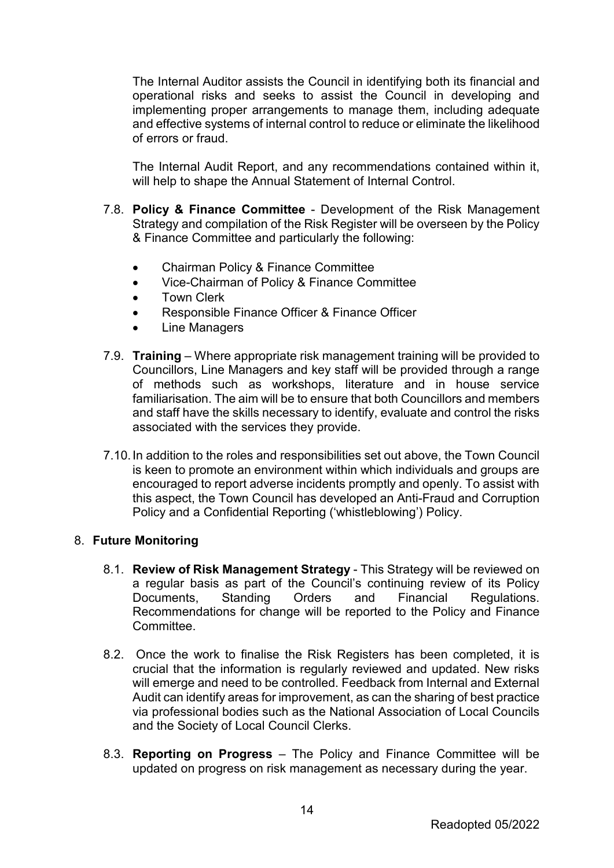The Internal Auditor assists the Council in identifying both its financial and operational risks and seeks to assist the Council in developing and implementing proper arrangements to manage them, including adequate and effective systems of internal control to reduce or eliminate the likelihood of errors or fraud.

The Internal Audit Report, and any recommendations contained within it, will help to shape the Annual Statement of Internal Control.

- 7.8. **Policy & Finance Committee** Development of the Risk Management Strategy and compilation of the Risk Register will be overseen by the Policy & Finance Committee and particularly the following:
	- Chairman Policy & Finance Committee
	- Vice-Chairman of Policy & Finance Committee
	- Town Clerk
	- Responsible Finance Officer & Finance Officer
	- **Line Managers**
- 7.9. **Training**  Where appropriate risk management training will be provided to Councillors, Line Managers and key staff will be provided through a range of methods such as workshops, literature and in house service familiarisation. The aim will be to ensure that both Councillors and members and staff have the skills necessary to identify, evaluate and control the risks associated with the services they provide.
- 7.10.In addition to the roles and responsibilities set out above, the Town Council is keen to promote an environment within which individuals and groups are encouraged to report adverse incidents promptly and openly. To assist with this aspect, the Town Council has developed an Anti-Fraud and Corruption Policy and a Confidential Reporting ('whistleblowing') Policy.

### 8. **Future Monitoring**

- 8.1. **Review of Risk Management Strategy**  This Strategy will be reviewed on a regular basis as part of the Council's continuing review of its Policy Documents, Standing Orders and Financial Regulations. Recommendations for change will be reported to the Policy and Finance Committee.
- 8.2. Once the work to finalise the Risk Registers has been completed, it is crucial that the information is regularly reviewed and updated. New risks will emerge and need to be controlled. Feedback from Internal and External Audit can identify areas for improvement, as can the sharing of best practice via professional bodies such as the National Association of Local Councils and the Society of Local Council Clerks.
- 8.3. **Reporting on Progress**  The Policy and Finance Committee will be updated on progress on risk management as necessary during the year.